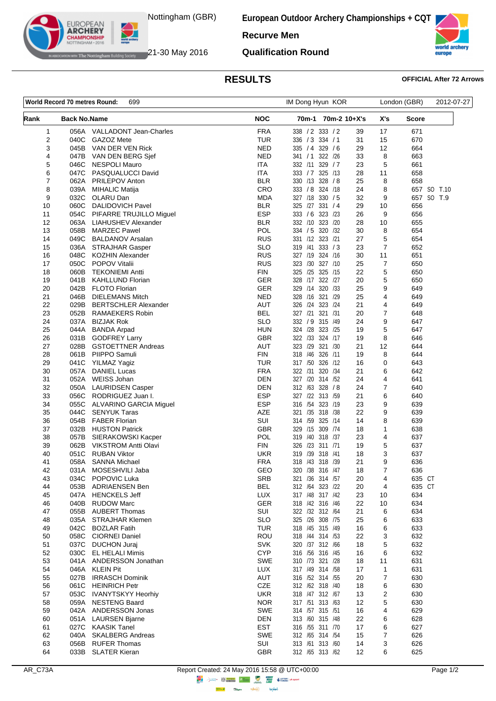

The Nottingham Building Society  $21$ -30 May 2016

**EUROPEAN ARCHERY** 

**European Outdoor Archery Championships + CQT**

**Recurve Men**

**Qualification Round**

## **RESULTS OFFICIAL After 72 Arrows**

| World Record 70 metres Round:<br>699 |                     | IM Dong Hyun KOR                               |                          |                                       | London (GBR) |                | 2012-07-27   |             |
|--------------------------------------|---------------------|------------------------------------------------|--------------------------|---------------------------------------|--------------|----------------|--------------|-------------|
| Rank                                 | <b>Back No.Name</b> |                                                | <b>NOC</b>               | 70m-1 70m-2 10+X's                    |              | X's            | <b>Score</b> |             |
| 1                                    |                     | 056A VALLADONT Jean-Charles                    | <b>FRA</b>               | 338 / 2 333 / 2                       | 39           | 17             | 671          |             |
| 2                                    | 040C                | GAZOZ Mete                                     | <b>TUR</b>               | 336 / 3 334 / 1                       | 31           | 15             | 670          |             |
| 3                                    | 045B                | VAN DER VEN Rick                               | <b>NED</b>               | 335 / 4 329 / 6                       | 29           | 12             | 664          |             |
| 4                                    | 047B                | VAN DEN BERG Sjef                              | <b>NED</b>               | 341 / 1 322 / 26                      | 33           | 8              | 663          |             |
| 5                                    | 046C                | <b>NESPOLI Mauro</b>                           | <b>ITA</b>               | 332 /11<br>329 / 7                    | 23           | 5              | 661          |             |
| 6<br>7                               | 047C<br>062A        | PASQUALUCCI David                              | <b>ITA</b><br><b>BLR</b> | 333 / 7 325 /13<br>330 /13 328 /8     | 28<br>25     | 11<br>8        | 658<br>658   |             |
| 8                                    | 039A                | PRILEPOV Anton<br><b>MIHALIC Matija</b>        | CRO                      | 333 / 8 324 /18                       | 24           | 8              |              | 657 SO T.10 |
| 9                                    | 032C                | OLARU Dan                                      | MDA                      | 327 /18 330 / 5                       | 32           | 9              |              | 657 SO T.9  |
| 10                                   | 060C                | <b>DALIDOVICH Pavel</b>                        | <b>BLR</b>               | 325 /27 331 / 4                       | 29           | 10             | 656          |             |
| 11                                   | 054C                | PIFARRE TRUJILLO Miguel                        | <b>ESP</b>               | 333 / 6 323 / 23                      | 26           | 9              | 656          |             |
| 12                                   | 063A                | LIAHUSHEV Alexander                            | <b>BLR</b>               | 332 /10 323 /20                       | 28           | 10             | 655          |             |
| 13                                   | 058B                | <b>MARZEC Pawel</b>                            | <b>POL</b>               | 334 / 5 320 / 32                      | 30           | 8              | 654          |             |
| 14                                   | 049C                | <b>BALDANOV Arsalan</b>                        | <b>RUS</b>               | 331 /12 323 /21                       | 27           | 5              | 654          |             |
| 15                                   | 036A                | <b>STRAJHAR Gasper</b>                         | <b>SLO</b>               | 319 /41 333 / 3                       | 23           | $\overline{7}$ | 652          |             |
| 16                                   | 048C                | <b>KOZHIN Alexander</b>                        | <b>RUS</b>               | 327 /19 324 /16                       | 30           | 11             | 651          |             |
| 17                                   | 050C                | <b>POPOV Vitalii</b>                           | <b>RUS</b>               | 323 /30 327 /10                       | 25           | 7              | 650          |             |
| 18                                   | 060B                | <b>TEKONIEMI Antti</b>                         | <b>FIN</b>               | 325 /25 325 /15                       | 22           | 5              | 650          |             |
| 19                                   | 041B                | <b>KAHLLUND Florian</b>                        | <b>GER</b>               | 328 /17 322 /27                       | 20           | 5              | 650          |             |
| 20                                   | 042B                | <b>FLOTO Florian</b><br><b>DIELEMANS Mitch</b> | GER                      | 329 /14 320 /33<br>328 /16 321 /29    | 25           | 9              | 649          |             |
| 21<br>22                             | 046B<br>029B        | <b>BERTSCHLER Alexander</b>                    | NED<br><b>AUT</b>        | 326 /24 323 /24                       | 25<br>21     | 4<br>4         | 649<br>649   |             |
| 23                                   | 052B                | <b>RAMAEKERS Robin</b>                         | <b>BEL</b>               | 327 /21 321 /31                       | 20           | 7              | 648          |             |
| 24                                   | 037A                | <b>BIZJAK Rok</b>                              | <b>SLO</b>               | 332 / 9 315 / 49                      | 24           | 9              | 647          |             |
| 25                                   | 044A                | <b>BANDA Arpad</b>                             | <b>HUN</b>               | 324 /28 323 /25                       | 19           | 5              | 647          |             |
| 26                                   | 031B                | <b>GODFREY Larry</b>                           | <b>GBR</b>               | 322 /33 324 /17                       | 19           | 8              | 646          |             |
| 27                                   | 028B                | <b>GSTOETTNER Andreas</b>                      | <b>AUT</b>               | 323 /29 321 /30                       | 21           | 12             | 644          |             |
| 28                                   | 061B                | PIIPPO Samuli                                  | <b>FIN</b>               | 326 /11<br>318 / 46                   | 19           | 8              | 644          |             |
| 29                                   | 041C                | YILMAZ Yagiz                                   | <b>TUR</b>               | 317 /50 326 /12                       | 16           | 0              | 643          |             |
| 30                                   | 057A                | <b>DANIEL Lucas</b>                            | <b>FRA</b>               | 322 /31 320 /34                       | 21           | 6              | 642          |             |
| 31                                   | 052A                | WEISS Johan                                    | <b>DEN</b>               | 327 /20 314 /52                       | 24           | 4              | 641          |             |
| 32                                   | 050A                | <b>LAURIDSEN Casper</b>                        | DEN                      | 312 /63 328 / 8                       | 24           | 7              | 640          |             |
| 33                                   | 056C                | RODRIGUEZ Juan I.                              | <b>ESP</b>               | 327 /22 313 /59                       | 21           | 6              | 640          |             |
| 34                                   | 055C                | <b>ALVARINO GARCIA Miguel</b>                  | <b>ESP</b><br>AZE        | 316 /54<br>323 /19<br>321 /35 318 /38 | 23           | 9              | 639          |             |
| 35<br>36                             | 044C<br>054B        | <b>SENYUK Taras</b><br><b>FABER Florian</b>    | SUI                      | 314 /59 325 /14                       | 22<br>14     | 9<br>8         | 639<br>639   |             |
| 37                                   | 032B                | <b>HUSTON Patrick</b>                          | <b>GBR</b>               | 329 /15 309 /74                       | 18           | $\mathbf{1}$   | 638          |             |
| 38                                   | 057B                | SIERAKOWSKI Kacper                             | <b>POL</b>               | 319 /40 318 /37                       | 23           | 4              | 637          |             |
| 39                                   | 062B                | <b>VIKSTROM Antti Olavi</b>                    | <b>FIN</b>               | 326 /23 311 /71                       | 19           | 5              | 637          |             |
| 40                                   | 051C                | <b>RUBAN Viktor</b>                            | <b>UKR</b>               | 319 /39 318 /41                       | 18           | 3              | 637          |             |
| 41                                   |                     | 058A SANNA Michael                             | <b>FRA</b>               | 318 /43 318 /39                       | 21           | 9              | 636          |             |
| 42                                   |                     | 031A MOSESHVILI Jaba                           | GEO                      | 320 /38 316 /47                       | 18           | $\overline{7}$ | 636          |             |
| 43                                   |                     | 034C POPOVIC Luka                              | <b>SRB</b>               | 321 /36 314 /57                       | 20           | 4              | 635 CT       |             |
| 44                                   | 053B                | <b>ADRIAENSEN Ben</b>                          | <b>BEL</b>               | 312 /64 323 /22                       | 20           | 4              | 635 CT       |             |
| 45                                   | 047A                | <b>HENCKELS Jeff</b>                           | <b>LUX</b>               | 317 /48 317 /42                       | 23           | 10             | 634          |             |
| 46                                   | 040B                | <b>RUDOW Marc</b>                              | GER                      | 318 /42 316 /46                       | 22           | 10             | 634          |             |
| 47                                   | 055B<br>035A        | <b>AUBERT Thomas</b><br>STRAJHAR Klemen        | SUI<br><b>SLO</b>        | 322 /32 312 /64<br>325 /26 308 /75    | 21           | 6              | 634<br>633   |             |
| 48<br>49                             | 042C                | <b>BOZLAR Fatih</b>                            | <b>TUR</b>               | 318 /45 315 /49                       | 25<br>16     | 6<br>6         | 633          |             |
| 50                                   | 058C                | <b>CIORNEI Daniel</b>                          | <b>ROU</b>               | 318 /44 314 /53                       | 22           | 3              | 632          |             |
| 51                                   | 037C                | <b>DUCHON Juraj</b>                            | <b>SVK</b>               | 320 /37 312 /66                       | 18           | 5              | 632          |             |
| 52                                   | 030C                | <b>EL HELALI Mimis</b>                         | <b>CYP</b>               | 316 /56 316 /45                       | 16           | 6              | 632          |             |
| 53                                   | 041A                | ANDERSSON Jonathan                             | SWE                      | 310 73 321 /28                        | 18           | 11             | 631          |             |
| 54                                   |                     | 046A KLEIN Pit                                 | <b>LUX</b>               | 317 /49 314 /58                       | 17           | $\mathbf{1}$   | 631          |             |
| 55                                   | 027B                | <b>IRRASCH Dominik</b>                         | AUT                      | 316 /52 314 /55                       | 20           | $\overline{7}$ | 630          |             |
| 56                                   | 061C                | <b>HEINRICH Petr</b>                           | CZE                      | 312 /62 318 /40                       | 18           | 6              | 630          |             |
| 57                                   | 053C                | <b>IVANYTSKYY Heorhiy</b>                      | <b>UKR</b>               | 318 /47 312 /67                       | 13           | 2              | 630          |             |
| 58                                   | 059A                | <b>NESTENG Baard</b>                           | <b>NOR</b>               | 317 /51 313 /63                       | 12           | 5              | 630          |             |
| 59                                   | 042A                | ANDERSSON Jonas                                | <b>SWE</b>               | 314 /57 315 /51                       | 16           | 4              | 629          |             |
| 60                                   | 051A                | <b>LAURSEN Bjarne</b>                          | <b>DEN</b>               | 313 /60 315 /48                       | 22           | 6              | 628          |             |
| 61                                   |                     | 027C KAASIK Tanel                              | <b>EST</b>               | 316 /55 311 /70                       | 17           | 6              | 627          |             |
| 62<br>63                             | 040A<br>056B        | <b>SKALBERG Andreas</b><br><b>RUFER Thomas</b> | <b>SWE</b><br>SUI        | 312 /65 314 /54<br>313 /61 313 /60    | 15<br>14     | 7<br>3         | 626<br>626   |             |
| 64                                   |                     | 033B SLATER Kieran                             | GBR                      | 312 /65 313 /62                       | 12           | 6              | 625          |             |
|                                      |                     |                                                |                          |                                       |              |                |              |             |

 $\Rightarrow \circledS$ 

**lensed** 

**Highway** .<br>Cibern